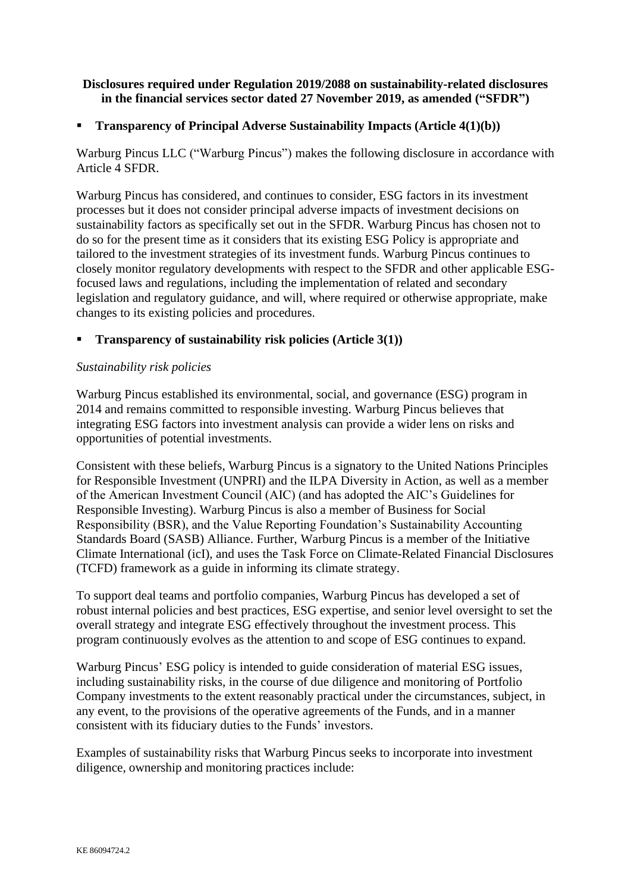# **Disclosures required under Regulation 2019/2088 on sustainability-related disclosures in the financial services sector dated 27 November 2019, as amended ("SFDR")**

# ▪ **Transparency of Principal Adverse Sustainability Impacts (Article 4(1)(b))**

Warburg Pincus LLC ("Warburg Pincus") makes the following disclosure in accordance with Article 4 SFDR.

Warburg Pincus has considered, and continues to consider, ESG factors in its investment processes but it does not consider principal adverse impacts of investment decisions on sustainability factors as specifically set out in the SFDR. Warburg Pincus has chosen not to do so for the present time as it considers that its existing ESG Policy is appropriate and tailored to the investment strategies of its investment funds. Warburg Pincus continues to closely monitor regulatory developments with respect to the SFDR and other applicable ESGfocused laws and regulations, including the implementation of related and secondary legislation and regulatory guidance, and will, where required or otherwise appropriate, make changes to its existing policies and procedures.

# ▪ **Transparency of sustainability risk policies (Article 3(1))**

## *Sustainability risk policies*

Warburg Pincus established its environmental, social, and governance (ESG) program in 2014 and remains committed to responsible investing. Warburg Pincus believes that integrating ESG factors into investment analysis can provide a wider lens on risks and opportunities of potential investments.

Consistent with these beliefs, Warburg Pincus is a signatory to the United Nations Principles for Responsible Investment (UNPRI) and the ILPA Diversity in Action, as well as a member of the American Investment Council (AIC) (and has adopted the AIC's Guidelines for Responsible Investing). Warburg Pincus is also a member of Business for Social Responsibility (BSR), and the Value Reporting Foundation's Sustainability Accounting Standards Board (SASB) Alliance. Further, Warburg Pincus is a member of the Initiative Climate International (icI), and uses the Task Force on Climate-Related Financial Disclosures (TCFD) framework as a guide in informing its climate strategy.

To support deal teams and portfolio companies, Warburg Pincus has developed a set of robust internal policies and best practices, ESG expertise, and senior level oversight to set the overall strategy and integrate ESG effectively throughout the investment process. This program continuously evolves as the attention to and scope of ESG continues to expand.

Warburg Pincus' ESG policy is intended to guide consideration of material ESG issues, including sustainability risks, in the course of due diligence and monitoring of Portfolio Company investments to the extent reasonably practical under the circumstances, subject, in any event, to the provisions of the operative agreements of the Funds, and in a manner consistent with its fiduciary duties to the Funds' investors.

Examples of sustainability risks that Warburg Pincus seeks to incorporate into investment diligence, ownership and monitoring practices include: